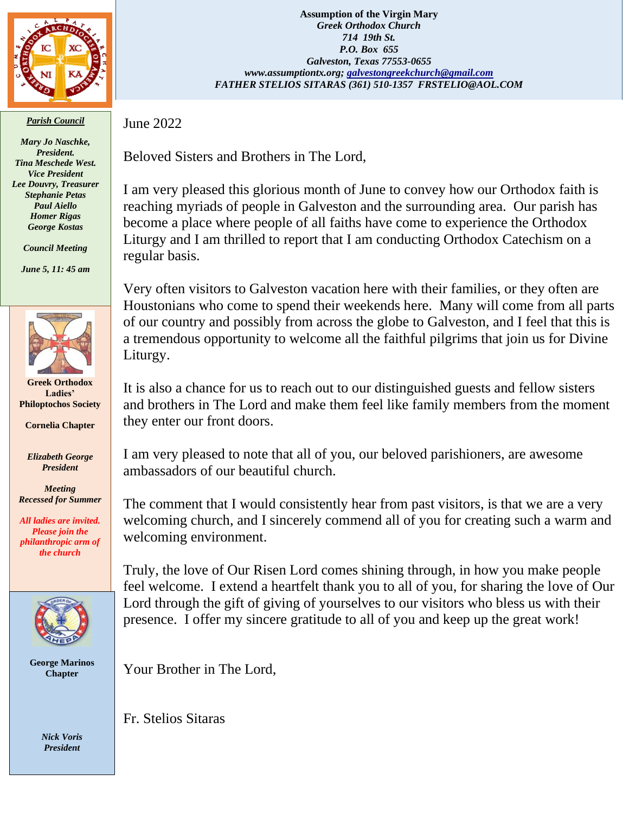

*Parish Council*

*Mary Jo Naschke, President. Tina Meschede West. Vice President Lee Douvry, Treasurer Stephanie Petas Paul Aiello Homer Rigas George Kostas*

*Council Meeting*

*June 5, 11: 45 am*



**Greek Orthodox Ladies' Philoptochos Society**

**Cornelia Chapter**

*Elizabeth George President*

*Meeting Recessed for Summer*

*All ladies are invited. Please join the philanthropic arm of the church*



**George Marinos Chapter**

> *Nick Voris President*

**Assumption of the Virgin Mary** *Greek Orthodox Church 714 19th St. P.O. Box 655 Galveston, Texas 77553-0655 www.assumptiontx.org; [galvestongreekchurch@gmail.com](mailto:galvestongreekchurch@gmail.com) FATHER STELIOS SITARAS (361) 510-1357 FRSTELIO@AOL.COM*

June 2022

Beloved Sisters and Brothers in The Lord,

I am very pleased this glorious month of June to convey how our Orthodox faith is reaching myriads of people in Galveston and the surrounding area. Our parish has become a place where people of all faiths have come to experience the Orthodox Liturgy and I am thrilled to report that I am conducting Orthodox Catechism on a regular basis.

Very often visitors to Galveston vacation here with their families, or they often are Houstonians who come to spend their weekends here. Many will come from all parts of our country and possibly from across the globe to Galveston, and I feel that this is a tremendous opportunity to welcome all the faithful pilgrims that join us for Divine Liturgy.

It is also a chance for us to reach out to our distinguished guests and fellow sisters and brothers in The Lord and make them feel like family members from the moment they enter our front doors.

I am very pleased to note that all of you, our beloved parishioners, are awesome ambassadors of our beautiful church.

The comment that I would consistently hear from past visitors, is that we are a very welcoming church, and I sincerely commend all of you for creating such a warm and welcoming environment.

Truly, the love of Our Risen Lord comes shining through, in how you make people feel welcome. I extend a heartfelt thank you to all of you, for sharing the love of Our Lord through the gift of giving of yourselves to our visitors who bless us with their presence. I offer my sincere gratitude to all of you and keep up the great work!

Your Brother in The Lord,

Fr. Stelios Sitaras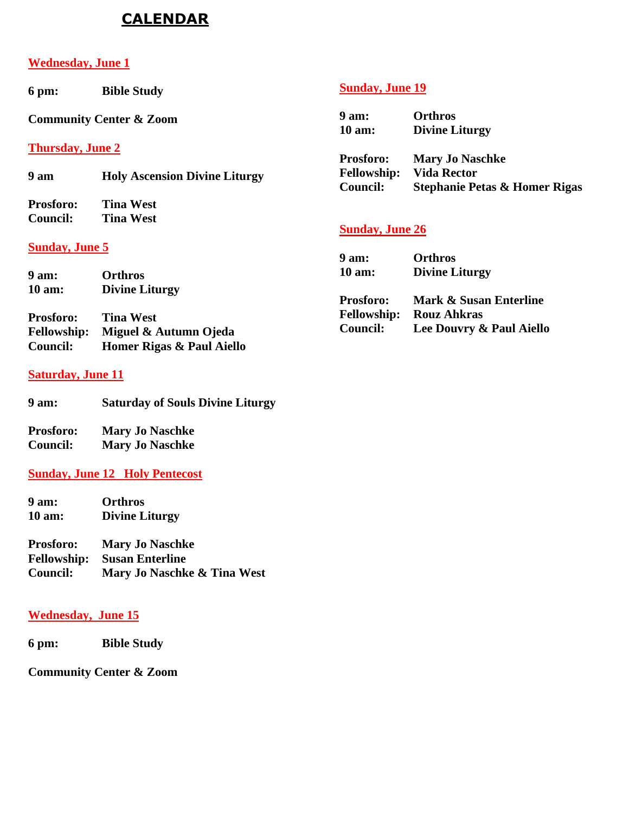# **CALENDAR**

#### **Wednesday, June 1**

**6 pm: Bible Study**

**Community Center & Zoom**

**Thursday, June 2**

**9 am Holy Ascension Divine Liturgy**

**Prosforo: Tina West Council: Tina West**

#### **Sunday, June 5**

| 9 am:              | <b>Orthros</b>            |
|--------------------|---------------------------|
| 10 am:             | <b>Divine Liturgy</b>     |
|                    |                           |
| <b>Prosforo:</b>   | <b>Tina West</b>          |
| <b>Fellowship:</b> | Miguel & Autumn Ojeda     |
| <b>Council:</b>    | Homer Rigas & Paul Aiello |

#### **Saturday, June 11**

| <b>Saturday of Souls Divine Liturgy</b> |
|-----------------------------------------|
|                                         |

| <b>Prosforo:</b> | <b>Mary Jo Naschke</b> |
|------------------|------------------------|
| <b>Council:</b>  | <b>Mary Jo Naschke</b> |

### **Sunday, June 12 Holy Pentecost**

**9 am: Orthros 10 am: Divine Liturgy** 

**Prosforo: Mary Jo Naschke Fellowship: Susan Enterline Mary Jo Naschke & Tina West** 

### **Wednesday, June 15**

**6 pm: Bible Study**

**Community Center & Zoom**

## **Sunday, June 19**

**9 am: Orthros 10 am: Divine Liturgy** 

**Prosforo: Mary Jo Naschke Fellowship: Vida Rector Council: Stephanie Petas & Homer Rigas** 

### **Sunday, June 26**

| 9 am:              | <b>Orthros</b>           |
|--------------------|--------------------------|
| $10 \text{ am}:$   | <b>Divine Liturgy</b>    |
| <b>Prosforo:</b>   | Mark & Susan Enterline   |
| <b>Fellowship:</b> | <b>Rouz Ahkras</b>       |
| <b>Council:</b>    | Lee Douvry & Paul Aiello |